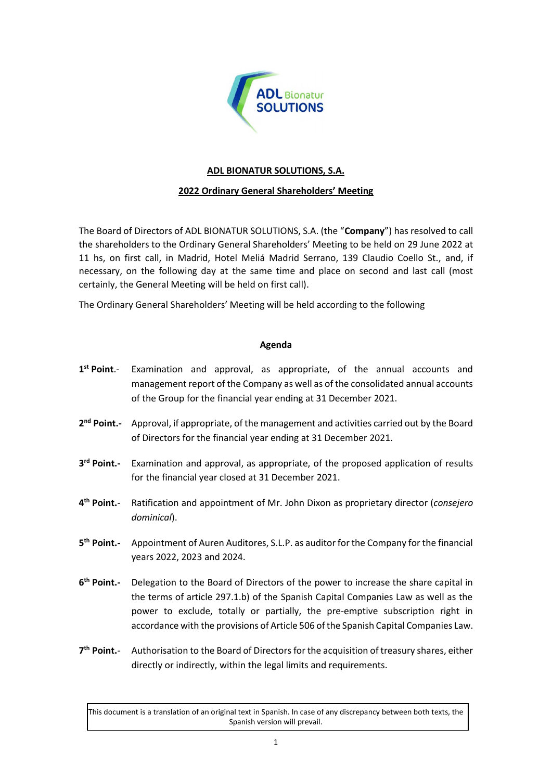

## **ADL BIONATUR SOLUTIONS, S.A.**

## **2022 Ordinary General Shareholders' Meeting**

The Board of Directors of ADL BIONATUR SOLUTIONS, S.A. (the "**Company**") has resolved to call the shareholders to the Ordinary General Shareholders' Meeting to be held on 29 June 2022 at 11 hs, on first call, in Madrid, Hotel Meliá Madrid Serrano, 139 Claudio Coello St., and, if necessary, on the following day at the same time and place on second and last call (most certainly, the General Meeting will be held on first call).

The Ordinary General Shareholders' Meeting will be held according to the following

## **Agenda**

- 1<sup>st</sup> Point.-Examination and approval, as appropriate, of the annual accounts and management report of the Company as well as of the consolidated annual accounts of the Group for the financial year ending at 31 December 2021.
- 2<sup>nd</sup> Point.- Approval, if appropriate, of the management and activities carried out by the Board of Directors for the financial year ending at 31 December 2021.
- 3<sup>rd</sup> Point.-Examination and approval, as appropriate, of the proposed application of results for the financial year closed at 31 December 2021.
- 4<sup>th</sup> Point.**th Point.**- Ratification and appointment of Mr. John Dixon as proprietary director (*consejero dominical*).
- **5 th Point.-** Appointment of Auren Auditores, S.L.P. as auditor for the Company for the financial years 2022, 2023 and 2024.
- **6 th Point.-** Delegation to the Board of Directors of the power to increase the share capital in the terms of article 297.1.b) of the Spanish Capital Companies Law as well as the power to exclude, totally or partially, the pre-emptive subscription right in accordance with the provisions of Article 506 of the Spanish Capital Companies Law.
- 7<sup>th</sup> Point.**th Point.**- Authorisation to the Board of Directors for the acquisition of treasury shares, either directly or indirectly, within the legal limits and requirements.

This document is a translation of an original text in Spanish. In case of any discrepancy between both texts, the Spanish version will prevail.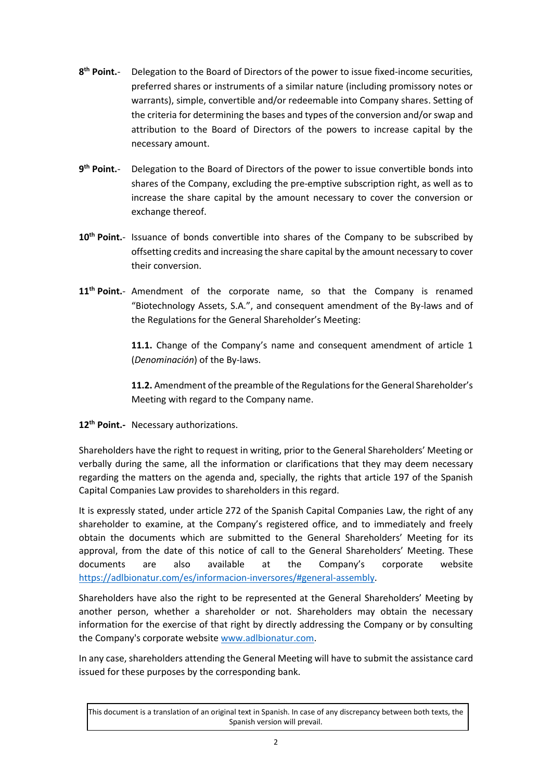- **8 th Point.**- Delegation to the Board of Directors of the power to issue fixed-income securities, preferred shares or instruments of a similar nature (including promissory notes or warrants), simple, convertible and/or redeemable into Company shares. Setting of the criteria for determining the bases and types of the conversion and/or swap and attribution to the Board of Directors of the powers to increase capital by the necessary amount.
- 9<sup>th</sup> Point.**th Point.**- Delegation to the Board of Directors of the power to issue convertible bonds into shares of the Company, excluding the pre-emptive subscription right, as well as to increase the share capital by the amount necessary to cover the conversion or exchange thereof.
- 10<sup>th</sup> Point.- Issuance of bonds convertible into shares of the Company to be subscribed by offsetting credits and increasing the share capital by the amount necessary to cover their conversion.
- 11<sup>th</sup> Point.- Amendment of the corporate name, so that the Company is renamed "Biotechnology Assets, S.A.", and consequent amendment of the By-laws and of the Regulations for the General Shareholder's Meeting:

**11.1.** Change of the Company's name and consequent amendment of article 1 (*Denominación*) of the By-laws.

**11.2.** Amendment of the preamble of the Regulations for the General Shareholder's Meeting with regard to the Company name.

**12 th Point.-** Necessary authorizations.

Shareholders have the right to request in writing, prior to the General Shareholders' Meeting or verbally during the same, all the information or clarifications that they may deem necessary regarding the matters on the agenda and, specially, the rights that article 197 of the Spanish Capital Companies Law provides to shareholders in this regard.

It is expressly stated, under article 272 of the Spanish Capital Companies Law, the right of any shareholder to examine, at the Company's registered office, and to immediately and freely obtain the documents which are submitted to the General Shareholders' Meeting for its approval, from the date of this notice of call to the General Shareholders' Meeting. These documents are also available at the Company's corporate website [https://adlbionatur.com/es/informacion-inversores/#general-assembly.](https://adlbionatur.com/es/informacion-inversores/#general-assembly)

Shareholders have also the right to be represented at the General Shareholders' Meeting by another person, whether a shareholder or not. Shareholders may obtain the necessary information for the exercise of that right by directly addressing the Company or by consulting the Company's corporate website [www.adlbionatur.com.](https://adlbionatur.com/)

In any case, shareholders attending the General Meeting will have to submit the assistance card issued for these purposes by the corresponding bank.

This document is a translation of an original text in Spanish. In case of any discrepancy between both texts, the Spanish version will prevail.